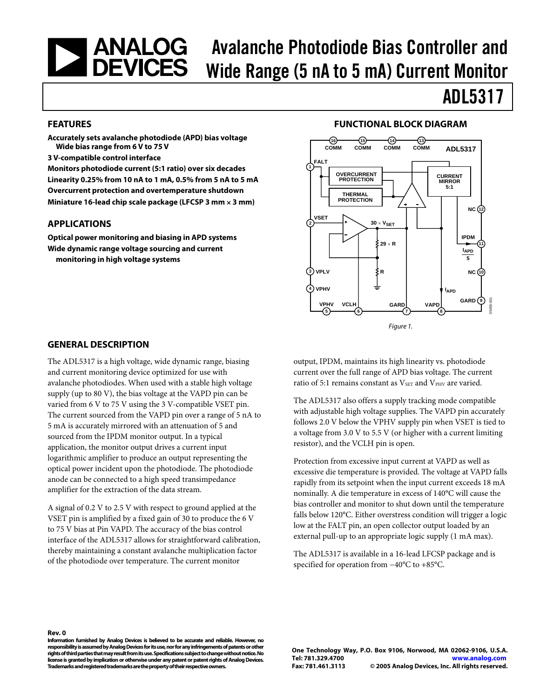### <span id="page-0-0"></span>| ANALOG<br>| DEVICES Avalanche Photodiode Bias Controller and Wide Range (5 nA to 5 mA) Current Monitor

#### **FEATURES**

**Accurately sets avalanche photodiode (APD) bias voltage Wide bias range from 6 V to 75 V** 

**3 V-compatible control interface** 

**Monitors photodiode current (5:1 ratio) over six decades Linearity 0.25% from 10 nA to 1 mA, 0.5% from 5 nA to 5 mA Overcurrent protection and overtemperature shutdown Miniature 16-lead chip scale package (LFCSP 3 mm** × **3 mm)** 

#### **APPLICATIONS**

**Optical power monitoring and biasing in APD systems Wide dynamic range voltage sourcing and current monitoring in high voltage systems** 

#### **FUNCTIONAL BLOCK DIAGRAM**

ADL5317



#### **GENERAL DESCRIPTION**

The ADL5317 is a high voltage, wide dynamic range, biasing and current monitoring device optimized for use with avalanche photodiodes. When used with a stable high voltage supply (up to 80 V), the bias voltage at the VAPD pin can be varied from 6 V to 75 V using the 3 V-compatible VSET pin. The current sourced from the VAPD pin over a range of 5 nA to 5 mA is accurately mirrored with an attenuation of 5 and sourced from the IPDM monitor output. In a typical application, the monitor output drives a current input logarithmic amplifier to produce an output representing the optical power incident upon the photodiode. The photodiode anode can be connected to a high speed transimpedance amplifier for the extraction of the data stream.

A signal of 0.2 V to 2.5 V with respect to ground applied at the VSET pin is amplified by a fixed gain of 30 to produce the 6 V to 75 V bias at Pin VAPD. The accuracy of the bias control interface of the ADL5317 allows for straightforward calibration, thereby maintaining a constant avalanche multiplication factor of the photodiode over temperature. The current monitor

output, IPDM, maintains its high linearity vs. photodiode current over the full range of APD bias voltage. The current ratio of 5:1 remains constant as  $V_{\text{SET}}$  and  $V_{\text{PHY}}$  are varied.

The ADL5317 also offers a supply tracking mode compatible with adjustable high voltage supplies. The VAPD pin accurately follows 2.0 V below the VPHV supply pin when VSET is tied to a voltage from 3.0 V to 5.5 V (or higher with a current limiting resistor), and the VCLH pin is open.

Protection from excessive input current at VAPD as well as excessive die temperature is provided. The voltage at VAPD falls rapidly from its setpoint when the input current exceeds 18 mA nominally. A die temperature in excess of 140°C will cause the bias controller and monitor to shut down until the temperature falls below 120°C. Either overstress condition will trigger a logic low at the FALT pin, an open collector output loaded by an external pull-up to an appropriate logic supply (1 mA max).

The ADL5317 is available in a 16-lead LFCSP package and is specified for operation from −40°C to +85°C.

**Rev. 0** 

**Information furnished by Analog Devices is believed to be accurate and reliable. However, no responsibility is assumed by Analog Devices for its use, nor for any infringements of patents or other rights of third parties that may result from its use. Specifications subject to change without notice. No license is granted by implication or otherwise under any patent or patent rights of Analog Devices. Trademarks and registered trademarks are the property of their respective owners.**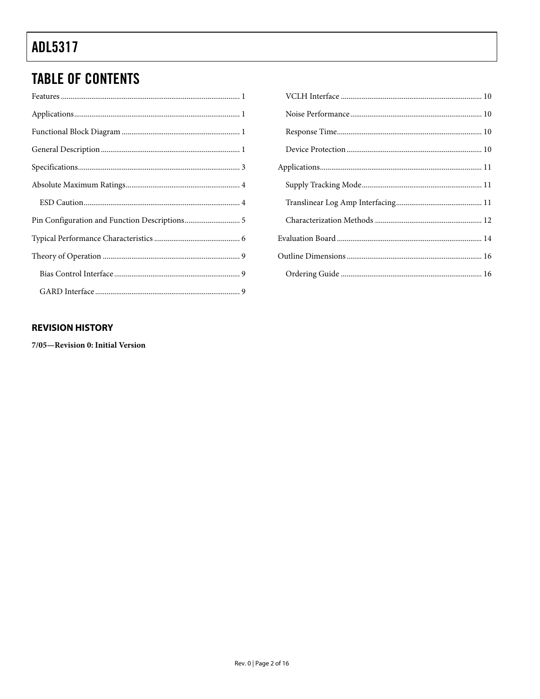# **TABLE OF CONTENTS**

#### **REVISION HISTORY**

7/05-Revision 0: Initial Version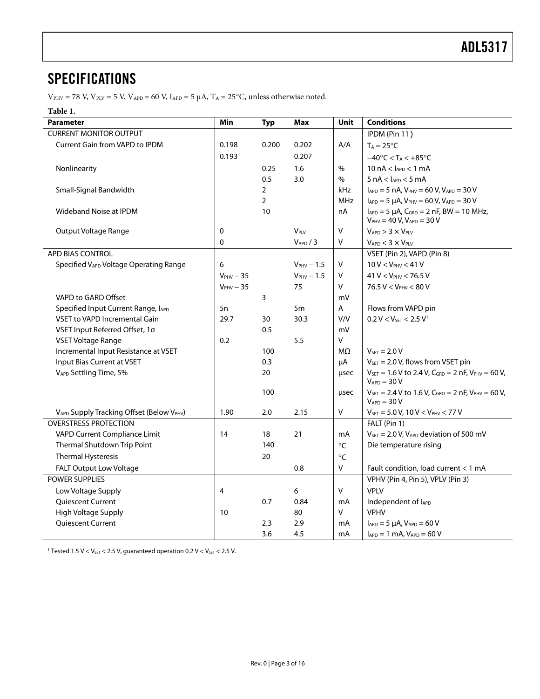## <span id="page-2-0"></span>**SPECIFICATIONS**

 $V_{\text{PHY}} = 78 \text{ V}$ ,  $V_{\text{PLY}} = 5 \text{ V}$ ,  $V_{\text{APD}} = 60 \text{ V}$ ,  $I_{\text{APD}} = 5 \mu \text{A}$ ,  $T_{\text{A}} = 25^{\circ} \text{C}$ , unless otherwise noted.

#### **Table 1.**

| <b>Parameter</b>                         | Min         | <b>Typ</b>     | <b>Max</b>    | Unit       | <b>Conditions</b>                                                                                                                  |
|------------------------------------------|-------------|----------------|---------------|------------|------------------------------------------------------------------------------------------------------------------------------------|
| <b>CURRENT MONITOR OUTPUT</b>            |             |                |               |            | IPDM (Pin 11)                                                                                                                      |
| Current Gain from VAPD to IPDM           | 0.198       | 0.200          | 0.202         | A/A        | $T_A = 25^{\circ}C$                                                                                                                |
|                                          | 0.193       |                | 0.207         |            | $-40^{\circ}$ C < T <sub>A</sub> < $+85^{\circ}$ C                                                                                 |
| Nonlinearity                             |             | 0.25           | 1.6           | $\%$       | $10 nA < I_{APD} < 1 mA$                                                                                                           |
|                                          |             | 0.5            | 3.0           | $\%$       | $5 nA < I_{APD} < 5 mA$                                                                                                            |
| Small-Signal Bandwidth                   |             | $\overline{2}$ |               | kHz        | $I_{APD} = 5 nA$ , $V_{PHV} = 60 V$ , $V_{APD} = 30 V$                                                                             |
|                                          |             | $\overline{2}$ |               | <b>MHz</b> | $I_{APD} = 5 \mu A$ , $V_{PHV} = 60 V$ , $V_{APD} = 30 V$                                                                          |
| Wideband Noise at IPDM                   |             | 10             |               | nA         | $I_{APD} = 5 \mu A$ , $C_{GRD} = 2 nF$ , BW = 10 MHz,<br>$V_{PHV} = 40 V, V_{APD} = 30 V$                                          |
| Output Voltage Range                     | 0           |                | VPLV          | v          | $V_{APD}$ > 3 $\times$ $V_{PLV}$                                                                                                   |
|                                          | 0           |                | $V_{APD}$ / 3 | Λ          | $V_{APD}$ < 3 $\times$ $V_{PUV}$                                                                                                   |
| APD BIAS CONTROL                         |             |                |               |            | VSET (Pin 2), VAPD (Pin 8)                                                                                                         |
| Specified VAPD Voltage Operating Range   | 6           |                | $VPHV - 1.5$  | v          | $10 V < V_{PHV} < 41 V$                                                                                                            |
|                                          | $VPHV - 35$ |                | $VPHV - 1.5$  | v          | $41 V < V_{PHV} < 76.5 V$                                                                                                          |
|                                          | $VPHV - 35$ |                | 75            | V          | $76.5 V < V_{PHV} < 80 V$                                                                                                          |
| VAPD to GARD Offset                      |             | 3              |               | mV         |                                                                                                                                    |
| Specified Input Current Range, IAPD      | 5n          |                | 5m            | A          | Flows from VAPD pin                                                                                                                |
| <b>VSET to VAPD Incremental Gain</b>     | 29.7        | 30             | 30.3          | V/V        | $0.2 V < V_{SET} < 2.5 V$ <sup>1</sup>                                                                                             |
| VSET Input Referred Offset, 1σ           |             | 0.5            |               | mV         |                                                                                                                                    |
| <b>VSET Voltage Range</b>                | 0.2         |                | 5.5           | V          |                                                                                                                                    |
| Incremental Input Resistance at VSET     |             | 100            |               | MΩ         | $V_{\text{SFT}} = 2.0 V$                                                                                                           |
| Input Bias Current at VSET               |             | 0.3            |               | μA         | $V_{SET} = 2.0 V$ , flows from VSET pin                                                                                            |
| VAPD Settling Time, 5%                   |             | 20             |               | usec       | $V_{\text{SET}} = 1.6 \text{ V}$ to 2.4 V, $C_{\text{GRD}} = 2 \text{ nF}$ , $V_{\text{PHV}} = 60 \text{ V}$ ,<br>$V_{APD} = 30 V$ |
|                                          |             | 100            |               | usec       | $V_{\text{SET}} = 2.4 \text{ V}$ to 1.6 V, $C_{\text{GRD}} = 2 \text{ nF}$ , $V_{\text{PHV}} = 60 \text{ V}$ ,<br>$V_{APD} = 30 V$ |
| VAPD Supply Tracking Offset (Below VPHV) | 1.90        | 2.0            | 2.15          | V          | $V_{SET} = 5.0 V, 10 V < V_{PHV} < 77 V$                                                                                           |
| <b>OVERSTRESS PROTECTION</b>             |             |                |               |            | FALT (Pin 1)                                                                                                                       |
| VAPD Current Compliance Limit            | 14          | 18             | 21            | mA         | $V_{\text{SET}} = 2.0$ V, $V_{\text{APD}}$ deviation of 500 mV                                                                     |
| Thermal Shutdown Trip Point              |             | 140            |               | $\circ$ C  | Die temperature rising                                                                                                             |
| <b>Thermal Hysteresis</b>                |             | 20             |               | $\circ$ C  |                                                                                                                                    |
| FALT Output Low Voltage                  |             |                | 0.8           | V          | Fault condition, load current < 1 mA                                                                                               |
| POWER SUPPLIES                           |             |                |               |            | VPHV (Pin 4, Pin 5), VPLV (Pin 3)                                                                                                  |
| Low Voltage Supply                       | 4           |                | 6             | V          | <b>VPLV</b>                                                                                                                        |
| Quiescent Current                        |             | 0.7            | 0.84          | mA         | Independent of lAPD                                                                                                                |
| High Voltage Supply                      | 10          |                | 80            | V          | <b>VPHV</b>                                                                                                                        |
| Quiescent Current                        |             | 2.3            | 2.9           | mA         | $I_{APD} = 5 \mu A$ , $V_{APD} = 60 V$                                                                                             |
|                                          |             | 3.6            | 4.5           | mA         | $I_{APD} = 1$ mA, $V_{APD} = 60$ V                                                                                                 |

<span id="page-2-1"></span><sup>1</sup> Tested 1.5 V < V<sub>SET</sub> < 2.5 V, guaranteed operation 0.2 V < V<sub>SET</sub> < 2.5 V.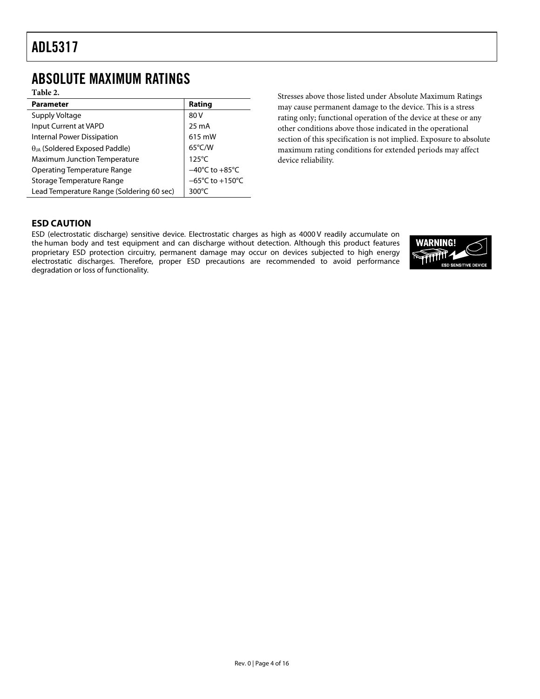## <span id="page-3-0"></span>ABSOLUTE MAXIMUM RATINGS

**Table 2.** 

| <b>Parameter</b>                          | Rating                               |
|-------------------------------------------|--------------------------------------|
| Supply Voltage                            | 80 V                                 |
| Input Current at VAPD                     | 25 mA                                |
| <b>Internal Power Dissipation</b>         | 615 mW                               |
| $\theta_{JA}$ (Soldered Exposed Paddle)   | 65°C/W                               |
| <b>Maximum Junction Temperature</b>       | $125^{\circ}$ C                      |
| <b>Operating Temperature Range</b>        | $-40^{\circ}$ C to $+85^{\circ}$ C   |
| Storage Temperature Range                 | $-65^{\circ}$ C to +150 $^{\circ}$ C |
| Lead Temperature Range (Soldering 60 sec) | 300 $\degree$ C                      |

Stresses above those listed under Absolute Maximum Ratings may cause permanent damage to the device. This is a stress rating only; functional operation of the device at these or any other conditions above those indicated in the operational section of this specification is not implied. Exposure to absolute maximum rating conditions for extended periods may affect device reliability.

#### **ESD CAUTION**

ESD (electrostatic discharge) sensitive device. Electrostatic charges as high as 4000 V readily accumulate on the human body and test equipment and can discharge without detection. Although this product features proprietary ESD protection circuitry, permanent damage may occur on devices subjected to high energy electrostatic discharges. Therefore, proper ESD precautions are recommended to avoid performance degradation or loss of functionality.

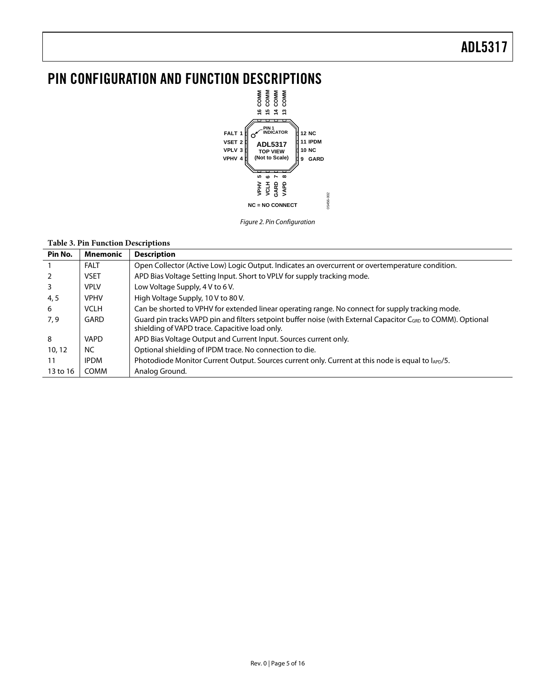# <span id="page-4-0"></span>**PIN CONFIGURATION AND FUNCTION DESCRIPTIONS**<br> $\frac{2}{5}$ <br> $\frac{2}{5}$ <br> $\frac{2}{5}$ <br> $\frac{2}{5}$ <br> $\frac{2}{5}$ <br> $\frac{2}{5}$



Figure 2. Pin Configuration

#### **Table 3. Pin Function Descriptions**

| Pin No.  | <b>Mnemonic</b> | <b>Description</b>                                                                                                                                                         |
|----------|-----------------|----------------------------------------------------------------------------------------------------------------------------------------------------------------------------|
|          | <b>FALT</b>     | Open Collector (Active Low) Logic Output. Indicates an overcurrent or overtemperature condition.                                                                           |
| 2        | <b>VSET</b>     | APD Bias Voltage Setting Input. Short to VPLV for supply tracking mode.                                                                                                    |
| 3        | <b>VPLV</b>     | Low Voltage Supply, 4 V to 6 V.                                                                                                                                            |
| 4, 5     | <b>VPHV</b>     | High Voltage Supply, 10 V to 80 V.                                                                                                                                         |
| -6       | <b>VCLH</b>     | Can be shorted to VPHV for extended linear operating range. No connect for supply tracking mode.                                                                           |
| 7,9      | GARD            | Guard pin tracks VAPD pin and filters setpoint buffer noise (with External Capacitor C <sub>GRD</sub> to COMM). Optional<br>shielding of VAPD trace. Capacitive load only. |
| 8        | <b>VAPD</b>     | APD Bias Voltage Output and Current Input. Sources current only.                                                                                                           |
| 10, 12   | NC.             | Optional shielding of IPDM trace. No connection to die.                                                                                                                    |
| 11       | <b>IPDM</b>     | Photodiode Monitor Current Output. Sources current only. Current at this node is equal to lAPD/5.                                                                          |
| 13 to 16 | COMM            | Analog Ground.                                                                                                                                                             |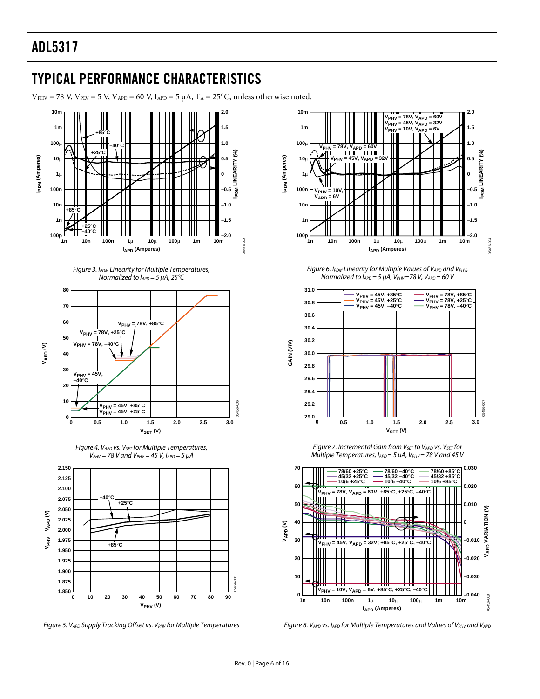# <span id="page-5-0"></span>TYPICAL PERFORMANCE CHARACTERISTICS

 $V_{PHV}$  = 78 V,  $V_{PIV}$  = 5 V,  $V_{APD}$  = 60 V,  $I_{APD}$  = 5  $\mu$ A,  $T_A$  = 25°C, unless otherwise noted.















Figure 6. IPDM Linearity for Multiple Values of VAPD and VPHV, Normalized to  $I_{APD} = 5 \mu A$ ,  $V_{PHV} = 78 V$ ,  $V_{APD} = 60 V$ 



Figure 7. Incremental Gain from V<sub>SET</sub> to VAPD VS. V<sub>SET</sub> for Multiple Temperatures,  $I_{APD} = 5 \mu A$ ,  $V_{PHV} = 78 V$  and 45 V



Figure 8. VAPD vs. IAPD for Multiple Temperatures and Values of VPHV and VAPD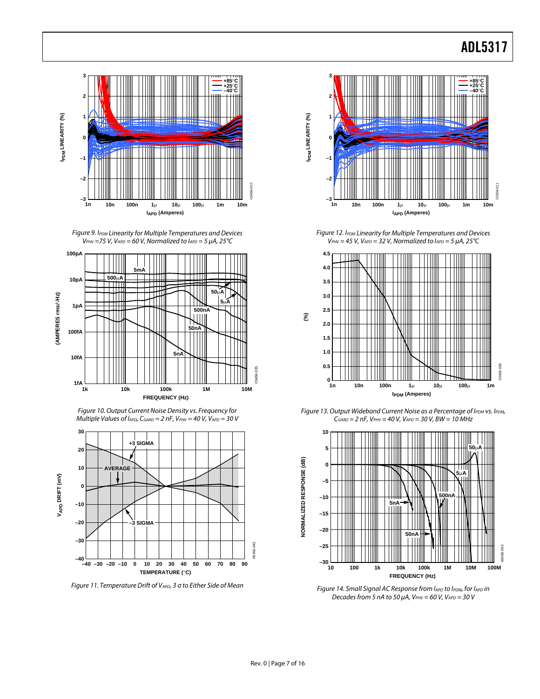

Figure 9. IPDM Linearity for Multiple Temperatures and Devices  $V_{PHV}$  =75 V, V<sub>APD</sub> = 60 V, Normalized to  $I_{APD}$  = 5  $\mu$ A, 25 °C



Figure 10. Output Current Noise Density vs. Frequency for Multiple Values of  $I_{APD}$ ,  $C_{GARD} = 2 nF$ ,  $V_{PHV} = 40 V$ ,  $V_{APD} = 30 V$ 



Figure 11. Temperature Drift of V<sub>APD</sub>, 3 σ to Either Side of Mean



Figure 12. IPDM Linearity for Multiple Temperatures and Devices  $V_{PHV} = 45$  V, V<sub>APD</sub> = 32 V, Normalized to  $I_{APD} = 5 \mu A$ , 25°C



Figure 13. Output Wideband Current Noise as a Percentage of IPDM Vs. IPDM,  $C_{GARD} = 2 nF$ ,  $V_{PHV} = 40 V$ ,  $V_{APD} = 30 V$ ,  $BW = 10 MHz$ 



Figure 14. Small Signal AC Response from lapp to Ippm, for lapp in Decades from 5 nA to 50  $\mu$ A, VPHV = 60 V, VAPD = 30 V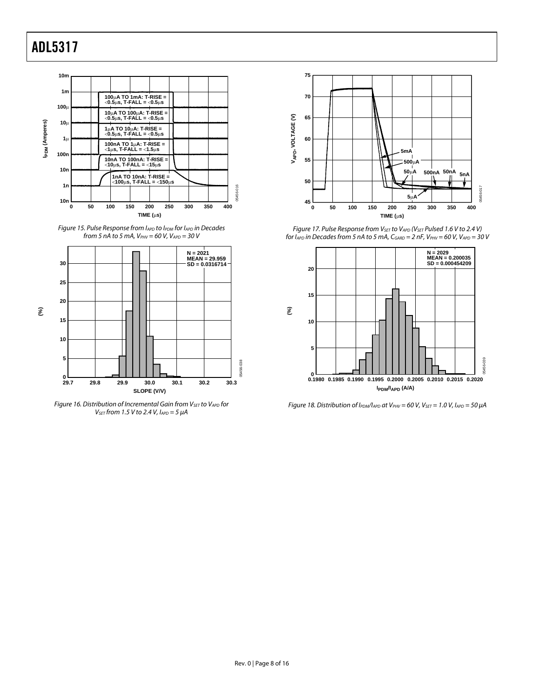



<span id="page-7-0"></span>

Figure 16. Distribution of Incremental Gain from  $V_{\text{SET}}$  to  $V_{\text{APD}}$  for  $V_{\text{SET}}$  from 1.5 V to 2.4 V,  $I_{\text{APD}} = 5 \mu A$ 



Figure 17. Pulse Response from V<sub>SET</sub> to V<sub>APD</sub> (V<sub>SET</sub> Pulsed 1.6 V to 2.4 V) for  $I_{APD}$  in Decades from 5 nA to 5 mA,  $C_{GARD} = 2$  nF,  $V_{PHV} = 60$  V,  $V_{APD} = 30$  V



Figure 18. Distribution of  $I_{PDM}/I_{APD}$  at  $V_{PHV}$  = 60 V,  $V_{SET}$  = 1.0 V,  $I_{APD}$  = 50  $\mu$ A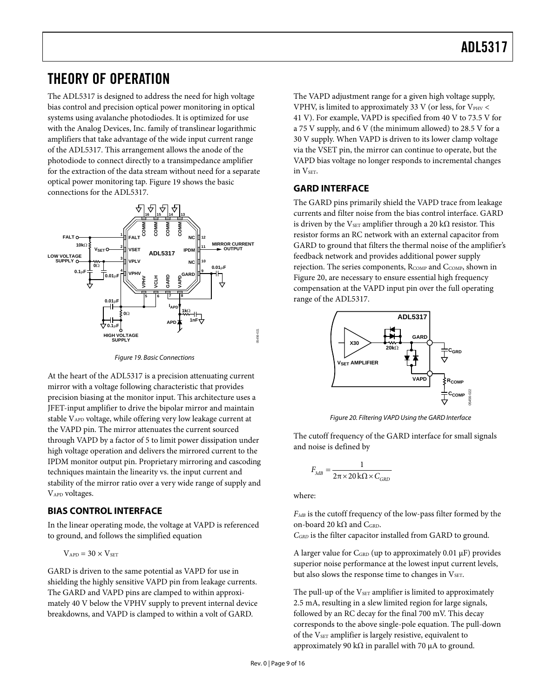## <span id="page-8-0"></span>THEORY OF OPERATION

The ADL5317 is designed to address the need for high voltage bias control and precision optical power monitoring in optical systems using avalanche photodiodes. It is optimized for use with the Analog Devices, Inc. family of translinear logarithmic amplifiers that take advantage of the wide input current range of the ADL5317. This arrangement allows the anode of the photodiode to connect directly to a transimpedance amplifier for the extraction of the data stream without need for a separate optical power monitoring tap. [Figure 19](#page-8-1) shows the basic connections for the ADL5317.

<span id="page-8-3"></span>

Figure 19. Basic Connections

<span id="page-8-2"></span><span id="page-8-1"></span>At the heart of the ADL5317 is a precision attenuating current mirror with a voltage following characteristic that provides precision biasing at the monitor input. This architecture uses a JFET-input amplifier to drive the bipolar mirror and maintain stable VAPD voltage, while offering very low leakage current at the VAPD pin. The mirror attenuates the current sourced through VAPD by a factor of 5 to limit power dissipation under high voltage operation and delivers the mirrored current to the IPDM monitor output pin. Proprietary mirroring and cascoding techniques maintain the linearity vs. the input current and stability of the mirror ratio over a very wide range of supply and VAPD voltages.

#### **BIAS CONTROL INTERFACE**

In the linear operating mode, the voltage at VAPD is referenced to ground, and follows the simplified equation

$$
V_{\text{APD}} = 30 \times V_{\text{SET}}
$$

GARD is driven to the same potential as VAPD for use in shielding the highly sensitive VAPD pin from leakage currents. The GARD and VAPD pins are clamped to within approximately 40 V below the VPHV supply to prevent internal device breakdowns, and VAPD is clamped to within a volt of GARD.

The VAPD adjustment range for a given high voltage supply, VPHV, is limited to approximately 33 V (or less, for  $V_{PHV}$  < 41 V). For example, VAPD is specified from 40 V to 73.5 V for a 75 V supply, and 6 V (the minimum allowed) to 28.5 V for a 30 V supply. When VAPD is driven to its lower clamp voltage via the VSET pin, the mirror can continue to operate, but the VAPD bias voltage no longer responds to incremental changes in V<sub>SET</sub>.

#### **GARD INTERFACE**

The GARD pins primarily shield the VAPD trace from leakage currents and filter noise from the bias control interface. GARD is driven by the V<sub>SET</sub> amplifier through a 20 k $\Omega$  resistor. This resistor forms an RC network with an external capacitor from GARD to ground that filters the thermal noise of the amplifier's feedback network and provides additional power supply rejection. The series components, RCOMP and CCOMP, shown in [Figure 20](#page-8-2), are necessary to ensure essential high frequency compensation at the VAPD input pin over the full operating range of the ADL5317.



Figure 20. Filtering VAPD Using the GARD Interface

The cutoff frequency of the GARD interface for small signals and noise is defined by

$$
F_{3dB} = \frac{1}{2\pi \times 20 \,\text{k}\Omega \times C_{GRD}}
$$

where:

*F3dB* is the cutoff frequency of the low-pass filter formed by the on-board 20 kΩ and CGRD.

*CGRD* is the filter capacitor installed from GARD to ground.

A larger value for CGRD (up to approximately 0.01 μF) provides superior noise performance at the lowest input current levels, but also slows the response time to changes in  $V<sub>SET</sub>$ .

The pull-up of the V<sub>SET</sub> amplifier is limited to approximately 2.5 mA, resulting in a slew limited region for large signals, followed by an RC decay for the final 700 mV. This decay corresponds to the above single-pole equation. The pull-down of the V<sub>SET</sub> amplifier is largely resistive, equivalent to approximately 90 kΩ in parallel with 70  $\mu$ A to ground.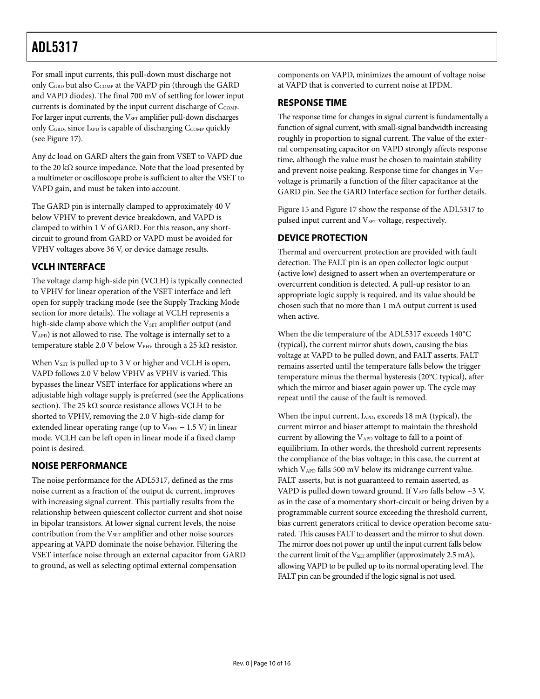<span id="page-9-0"></span>For small input currents, this pull-down must discharge not only C<sub>GRD</sub> but also C<sub>COMP</sub> at the VAPD pin (through the GARD and VAPD diodes). The final 700 mV of settling for lower input currents is dominated by the input current discharge of C<sub>COMP</sub>. For larger input currents, the V<sub>SET</sub> amplifier pull-down discharges only C<sub>GRD</sub>, since I<sub>APD</sub> is capable of discharging C<sub>COMP</sub> quickly (see [Figure 17\)](#page-7-0).

Any dc load on GARD alters the gain from VSET to VAPD due to the 20 kΩ source impedance. Note that the load presented by a multimeter or oscilloscope probe is sufficient to alter the VSET to VAPD gain, and must be taken into account.

The GARD pin is internally clamped to approximately 40 V below VPHV to prevent device breakdown, and VAPD is clamped to within 1 V of GARD. For this reason, any shortcircuit to ground from GARD or VAPD must be avoided for VPHV voltages above 36 V, or device damage results.

#### **VCLH INTERFACE**

The voltage clamp high-side pin (VCLH) is typically connected to VPHV for linear operation of the VSET interface and left open for supply tracking mode (see the [Supply Tracking Mode](#page-10-1) section for more details). The voltage at VCLH represents a high-side clamp above which the  $V_{\text{SET}}$  amplifier output (and VAPD) is not allowed to rise. The voltage is internally set to a temperature stable 2.0 V below V<sub>PHV</sub> through a 25 kΩ resistor.

When  $V<sub>SET</sub>$  is pulled up to 3 V or higher and VCLH is open, VAPD follows 2.0 V below VPHV as VPHV is varied. This bypasses the linear VSET interface for applications where an adjustable high voltage supply is preferred (see the [Applications](#page-10-2) section). The 25 k $\Omega$  source resistance allows VCLH to be shorted to VPHV, removing the 2.0 V high-side clamp for extended linear operating range (up to  $V_{PHV}$  – 1.5 V) in linear mode. VCLH can be left open in linear mode if a fixed clamp point is desired.

#### **NOISE PERFORMANCE**

The noise performance for the ADL5317, defined as the rms noise current as a fraction of the output dc current, improves with increasing signal current. This partially results from the relationship between quiescent collector current and shot noise in bipolar transistors. At lower signal current levels, the noise contribution from the V<sub>SET</sub> amplifier and other noise sources appearing at VAPD dominate the noise behavior. Filtering the VSET interface noise through an external capacitor from GARD to ground, as well as selecting optimal external compensation

components on VAPD, minimizes the amount of voltage noise at VAPD that is converted to current noise at IPDM.

#### **RESPONSE TIME**

The response time for changes in signal current is fundamentally a function of signal current, with small-signal bandwidth increasing roughly in proportion to signal current. The value of the external compensating capacitor on VAPD strongly affects response time, although the value must be chosen to maintain stability and prevent noise peaking. Response time for changes in VSET voltage is primarily a function of the filter capacitance at the GARD pin. See the [GARD Interface](#page-8-3) section for further details.

[Figure 15](#page-7-0) and [Figure 17](#page-7-0) show the response of the ADL5317 to pulsed input current and V<sub>SET</sub> voltage, respectively.

#### **DEVICE PROTECTION**

Thermal and overcurrent protection are provided with fault detection. The FALT pin is an open collector logic output (active low) designed to assert when an overtemperature or overcurrent condition is detected. A pull-up resistor to an appropriate logic supply is required, and its value should be chosen such that no more than 1 mA output current is used when active.

When the die temperature of the ADL5317 exceeds 140°C (typical), the current mirror shuts down, causing the bias voltage at VAPD to be pulled down, and FALT asserts. FALT remains asserted until the temperature falls below the trigger temperature minus the thermal hysteresis (20°C typical), after which the mirror and biaser again power up. The cycle may repeat until the cause of the fault is removed.

When the input current, IAPD, exceeds 18 mA (typical), the current mirror and biaser attempt to maintain the threshold current by allowing the  $V_{APD}$  voltage to fall to a point of equilibrium. In other words, the threshold current represents the compliance of the bias voltage; in this case, the current at which VAPD falls 500 mV below its midrange current value. FALT asserts, but is not guaranteed to remain asserted, as VAPD is pulled down toward ground. If  $V_{APD}$  falls below  $\sim$ 3 V, as in the case of a momentary short-circuit or being driven by a programmable current source exceeding the threshold current, bias current generators critical to device operation become saturated. This causes FALT to deassert and the mirror to shut down. The mirror does not power up until the input current falls below the current limit of the  $V<sub>SET</sub>$  amplifier (approximately 2.5 mA), allowing VAPD to be pulled up to its normal operating level. The FALT pin can be grounded if the logic signal is not used.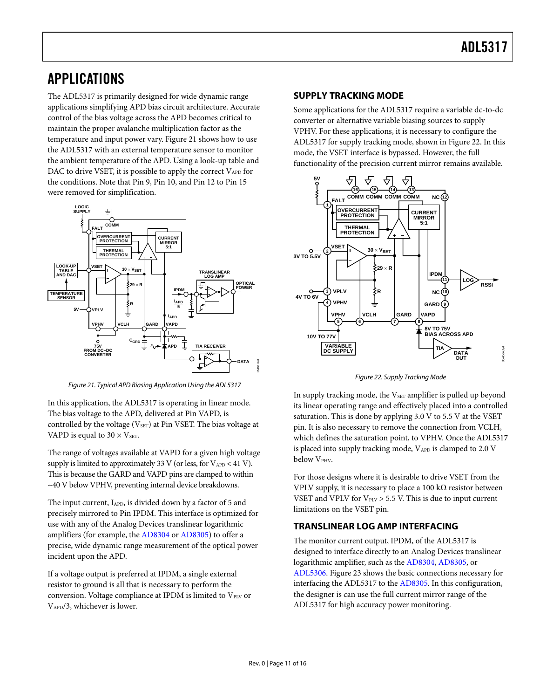## <span id="page-10-2"></span><span id="page-10-0"></span>APPLICATIONS

<span id="page-10-1"></span>The ADL5317 is primarily designed for wide dynamic range applications simplifying APD bias circuit architecture. Accurate control of the bias voltage across the APD becomes critical to maintain the proper avalanche multiplication factor as the temperature and input power vary. [Figure 21](#page-10-3) shows how to use the ADL5317 with an external temperature sensor to monitor the ambient temperature of the APD. Using a look-up table and DAC to drive VSET, it is possible to apply the correct  $V_{APD}$  for the conditions. Note that Pin 9, Pin 10, and Pin 12 to Pin 15 were removed for simplification.



Figure 21. Typical APD Biasing Application Using the ADL5317

<span id="page-10-4"></span><span id="page-10-3"></span>In this application, the ADL5317 is operating in linear mode. The bias voltage to the APD, delivered at Pin VAPD, is controlled by the voltage ( $V<sub>SET</sub>$ ) at Pin VSET. The bias voltage at VAPD is equal to  $30 \times V_{\text{SET}}$ .

The range of voltages available at VAPD for a given high voltage supply is limited to approximately 33 V (or less, for  $V_{APD}$  < 41 V). This is because the GARD and VAPD pins are clamped to within ~40 V below VPHV, preventing internal device breakdowns.

The input current, IAPD, is divided down by a factor of 5 and precisely mirrored to Pin IPDM. This interface is optimized for use with any of the Analog Devices translinear logarithmic amplifiers (for example, the [AD8304](http://www.analog.com/en/prod/0%2C2877%2CAD8304%2C00.html) or [AD8305\)](http://www.analog.com/en/prod/0%2C2877%2CAD8305%2C00.html) to offer a precise, wide dynamic range measurement of the optical power incident upon the APD.

If a voltage output is preferred at IPDM, a single external resistor to ground is all that is necessary to perform the conversion. Voltage compliance at IPDM is limited to  $V_{\text{PLV}}$  or VAPD/3, whichever is lower.

#### **SUPPLY TRACKING MODE**

Some applications for the ADL5317 require a variable dc-to-dc converter or alternative variable biasing sources to supply VPHV. For these applications, it is necessary to configure the ADL5317 for supply tracking mode, shown in [Figure 22](#page-10-4). In this mode, the VSET interface is bypassed. However, the full functionality of the precision current mirror remains available.



Figure 22. Supply Tracking Mode

In supply tracking mode, the  $V_{\text{SET}}$  amplifier is pulled up beyond its linear operating range and effectively placed into a controlled saturation. This is done by applying 3.0 V to 5.5 V at the VSET pin. It is also necessary to remove the connection from VCLH, which defines the saturation point, to VPHV. Once the ADL5317 is placed into supply tracking mode, VAPD is clamped to 2.0 V below V<sub>PHV</sub>.

For those designs where it is desirable to drive VSET from the VPLV supply, it is necessary to place a 100 kΩ resistor between VSET and VPLV for  $V_{PUV} > 5.5$  V. This is due to input current limitations on the VSET pin.

#### **TRANSLINEAR LOG AMP INTERFACING**

The monitor current output, IPDM, of the ADL5317 is designed to interface directly to an Analog Devices translinear logarithmic amplifier, such as the [AD8304,](http://www.analog.com/en/prod/0%2C2877%2CAD8304%2C00.html) [AD8305](http://www.analog.com/en/prod/0%2C2877%2CAD8305%2C00.html), or [ADL5306.](http://www.analog.com/en/prod/0%2C2877%2CADL5306%2C00.html) [Figure 23](#page-11-1) shows the basic connections necessary for interfacing the ADL5317 to the [AD8305](http://www.analog.com/en/prod/0%2C2877%2CAD8305%2C00.html). In this configuration, the designer is can use the full current mirror range of the ADL5317 for high accuracy power monitoring.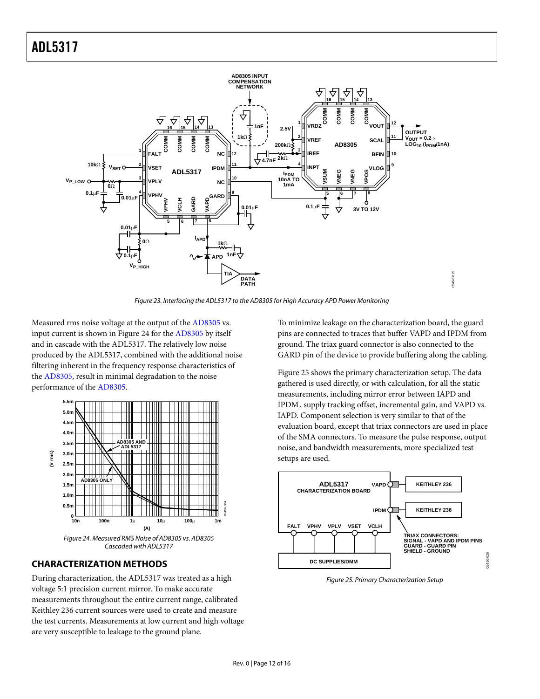<span id="page-11-0"></span>

Figure 23. Interfacing the ADL5317 to th[e AD8305 f](www.analog.com/en/prod/0%2C2877%2CAD8305%2C00.html)or High Accuracy APD Power Monitoring

<span id="page-11-1"></span>Measured rms noise voltage at the output of the [AD8305](http://www.analog.com/en/prod/0%2C2877%2CAD8305%2C00.html) vs. input current is shown in [Figure 24](#page-11-2) for the [AD8305](http://www.analog.com/en/prod/0%2C2877%2CAD8305%2C00.html) by itself and in cascade with the ADL5317. The relatively low noise produced by the ADL5317, combined with the additional noise filtering inherent in the frequency response characteristics of the [AD8305,](http://www.analog.com/en/prod/0%2C2877%2CAD8305%2C00.html) result in minimal degradation to the noise performance of the [AD8305.](http://www.analog.com/en/prod/0%2C2877%2CAD8305%2C00.html)



#### <span id="page-11-2"></span>**CHARACTERIZATION METHODS**

<span id="page-11-3"></span>During characterization, the ADL5317 was treated as a high voltage 5:1 precision current mirror. To make accurate measurements throughout the entire current range, calibrated Keithley 236 current sources were used to create and measure the test currents. Measurements at low current and high voltage are very susceptible to leakage to the ground plane.

To minimize leakage on the characterization board, the guard pins are connected to traces that buffer VAPD and IPDM from ground. The triax guard connector is also connected to the GARD pin of the device to provide buffering along the cabling.

[Figure 25](#page-11-3) shows the primary characterization setup. The data gathered is used directly, or with calculation, for all the static measurements, including mirror error between IAPD and IPDM, supply tracking offset, incremental gain, and VAPD vs. IAPD. Component selection is very similar to that of the evaluation board, except that triax connectors are used in place of the SMA connectors. To measure the pulse response, output noise, and bandwidth measurements, more specialized test setups are used.



Figure 25. Primary Characterization Setup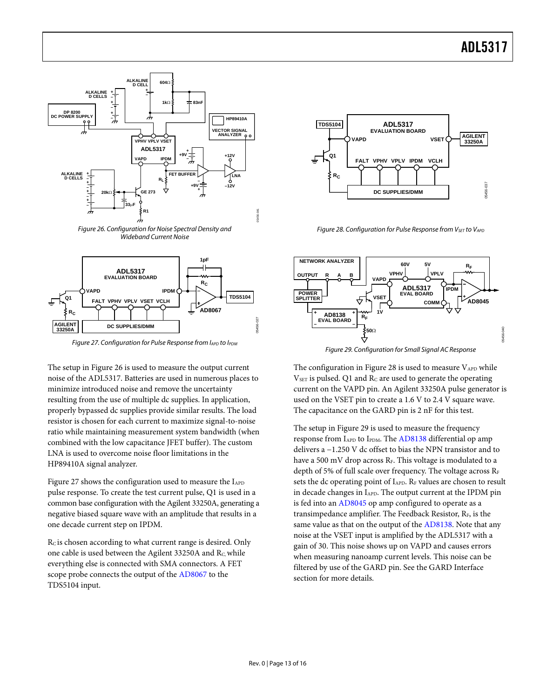

Figure 27. Configuration for Pulse Response from IAPD to IPDM

**DC SUPPLIES/DMM**

<span id="page-12-0"></span>**AGILENT 33250A**

<span id="page-12-2"></span><span id="page-12-1"></span>The setup in [Figure 26](#page-12-0) is used to measure the output current noise of the ADL5317. Batteries are used in numerous places to minimize introduced noise and remove the uncertainty resulting from the use of multiple dc supplies. In application, properly bypassed dc supplies provide similar results. The load resistor is chosen for each current to maximize signal-to-noise ratio while maintaining measurement system bandwidth (when combined with the low capacitance JFET buffer). The custom LNA is used to overcome noise floor limitations in the HP89410A signal analyzer.

[Figure 27](#page-12-1) shows the configuration used to measure the I<sub>APD</sub> pulse response. To create the test current pulse, Q1 is used in a common base configuration with the Agilent 33250A, generating a negative biased square wave with an amplitude that results in a one decade current step on IPDM.

Rc is chosen according to what current range is desired. Only one cable is used between the Agilent 33250A and Rc, while everything else is connected with SMA connectors. A FET scope probe connects the output of the [AD8067](http://www.analog.com/en/prod/0%2C2877%2CAD8067%2C00.html) to the TDS5104 input.



Figure 28. Configuration for Pulse Response from  $V_{SET}$  to  $V_{APD}$ 



Figure 29. Configuration for Small Signal AC Response

The configuration in [Figure 28](#page-12-0) is used to measure  $V_{APD}$  while  $V<sub>SET</sub>$  is pulsed. Q1 and  $R<sub>C</sub>$  are used to generate the operating current on the VAPD pin. An Agilent 33250A pulse generator is used on the VSET pin to create a 1.6 V to 2.4 V square wave. The capacitance on the GARD pin is 2 nF for this test.

The setup in [Figure 29](#page-12-2) is used to measure the frequency response from I<sub>APD</sub> to I<sub>PDM</sub>. The [AD8138](http://www.analog.com/en/prod/0%2C2877%2CAD8138%2C00.html) differential op amp delivers a −1.250 V dc offset to bias the NPN transistor and to have a 500 mV drop across  $R_F$ . This voltage is modulated to a depth of 5% of full scale over frequency. The voltage across RF sets the dc operating point of I<sub>APD</sub>. R<sub>F</sub> values are chosen to result in decade changes in  $I_{APD}$ . The output current at the IPDM pin is fed into an [AD8045](http://www.analog.com/en/prod/0%2C2877%2CAD8045%2C00.html) op amp configured to operate as a transimpedance amplifier. The Feedback Resistor, RF, is the same value as that on the output of the [AD8138.](http://www.analog.com/en/prod/0%2C2877%2CAD8138%2C00.html) Note that any noise at the VSET input is amplified by the ADL5317 with a gain of 30. This noise shows up on VAPD and causes errors when measuring nanoamp current levels. This noise can be filtered by use of the GARD pin. See the [GARD Interface](#page-8-3) section for more details.

05456-027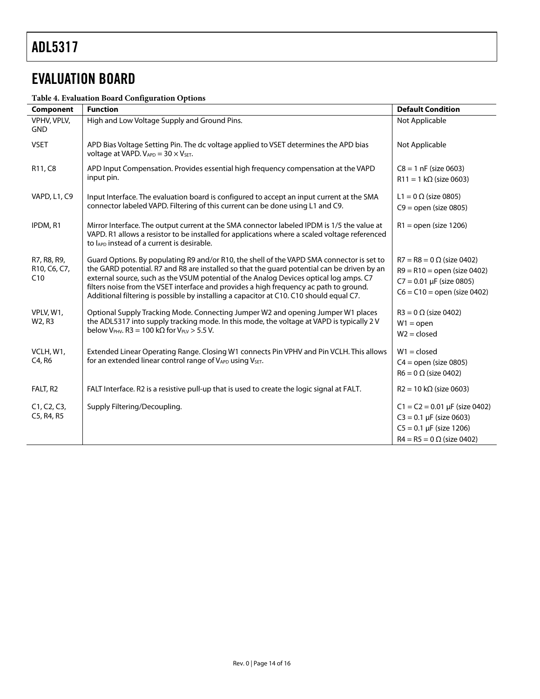# <span id="page-13-0"></span>EVALUATION BOARD

#### **Table 4. Evaluation Board Configuration Options**

| Component                          | <b>Function</b>                                                                                                                                                                                                                                                                                                                                                                                                                                                         | <b>Default Condition</b>                                                                                                               |
|------------------------------------|-------------------------------------------------------------------------------------------------------------------------------------------------------------------------------------------------------------------------------------------------------------------------------------------------------------------------------------------------------------------------------------------------------------------------------------------------------------------------|----------------------------------------------------------------------------------------------------------------------------------------|
| VPHV, VPLV,<br><b>GND</b>          | High and Low Voltage Supply and Ground Pins.                                                                                                                                                                                                                                                                                                                                                                                                                            | Not Applicable                                                                                                                         |
| <b>VSET</b>                        | APD Bias Voltage Setting Pin. The dc voltage applied to VSET determines the APD bias<br>voltage at VAPD. $V_{APD} = 30 \times V_{SET}$ .                                                                                                                                                                                                                                                                                                                                | Not Applicable                                                                                                                         |
| R11, C8                            | APD Input Compensation. Provides essential high frequency compensation at the VAPD<br>input pin.                                                                                                                                                                                                                                                                                                                                                                        | $C8 = 1$ nF (size 0603)<br>$R11 = 1 k\Omega$ (size 0603)                                                                               |
| VAPD, L1, C9                       | Input Interface. The evaluation board is configured to accept an input current at the SMA<br>connector labeled VAPD. Filtering of this current can be done using L1 and C9.                                                                                                                                                                                                                                                                                             | L1 = $0 \Omega$ (size 0805)<br>$C9 =$ open (size 0805)                                                                                 |
| IPDM, R1                           | Mirror Interface. The output current at the SMA connector labeled IPDM is 1/5 the value at<br>VAPD. R1 allows a resistor to be installed for applications where a scaled voltage referenced<br>to lAPD instead of a current is desirable.                                                                                                                                                                                                                               | $R1 =$ open (size 1206)                                                                                                                |
| R7, R8, R9,<br>R10, C6, C7,<br>C10 | Guard Options. By populating R9 and/or R10, the shell of the VAPD SMA connector is set to<br>the GARD potential. R7 and R8 are installed so that the quard potential can be driven by an<br>external source, such as the VSUM potential of the Analog Devices optical log amps. C7<br>filters noise from the VSET interface and provides a high frequency ac path to ground.<br>Additional filtering is possible by installing a capacitor at C10. C10 should equal C7. | $R7 = R8 = 0 \Omega$ (size 0402)<br>$R9 = R10 =$ open (size 0402)<br>$C7 = 0.01 \mu F$ (size 0805)<br>$C6 = C10 = open (size 0402)$    |
| VPLV, W1,<br>W2, R3                | Optional Supply Tracking Mode. Connecting Jumper W2 and opening Jumper W1 places<br>the ADL5317 into supply tracking mode. In this mode, the voltage at VAPD is typically 2V<br>below V <sub>PHV</sub> . R3 = 100 kΩ for V <sub>PLV</sub> > 5.5 V.                                                                                                                                                                                                                      | $R3 = 0 \Omega$ (size 0402)<br>$W1 = open$<br>$W2 = closed$                                                                            |
| VCLH, W1,<br>C4, R6                | Extended Linear Operating Range. Closing W1 connects Pin VPHV and Pin VCLH. This allows<br>for an extended linear control range of VAPD using VSET.                                                                                                                                                                                                                                                                                                                     | $W1 = closed$<br>$C4 = open (size 0805)$<br>$R6 = 0 \Omega$ (size 0402)                                                                |
| FALT, R2                           | FALT Interface. R2 is a resistive pull-up that is used to create the logic signal at FALT.                                                                                                                                                                                                                                                                                                                                                                              | $R2 = 10 \text{ k}\Omega$ (size 0603)                                                                                                  |
| C1, C2, C3,<br>C5, R4, R5          | Supply Filtering/Decoupling.                                                                                                                                                                                                                                                                                                                                                                                                                                            | $C1 = C2 = 0.01 \mu F$ (size 0402)<br>$C3 = 0.1 \mu F$ (size 0603)<br>$C5 = 0.1 \mu F$ (size 1206)<br>$R4 = R5 = 0 \Omega$ (size 0402) |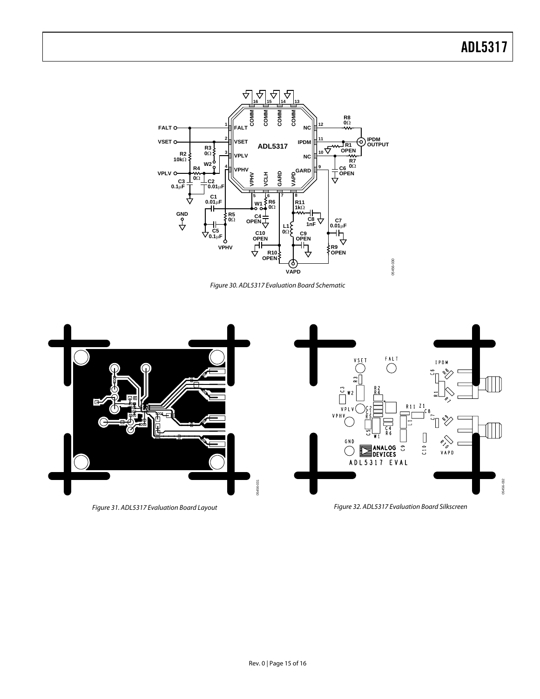

Figure 30. ADL5317 Evaluation Board Schematic



Figure 31. ADL5317 Evaluation Board Layout

Figure 32. ADL5317 Evaluation Board Silkscreen